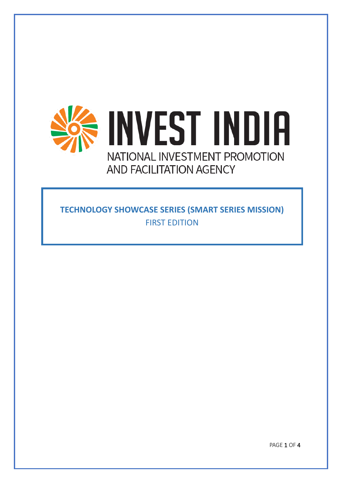

**TECHNOLOGY SHOWCASE SERIES (SMART SERIES MISSION)** FIRST EDITION

PAGE 1 OF 4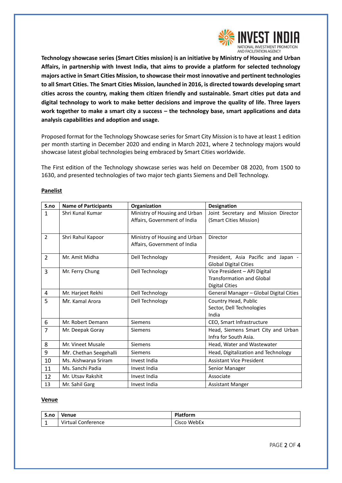

**Technology showcase series (Smart Cities mission) is an initiative by Ministry of Housing and Urban Affairs, in partnership with Invest India, that aims to provide a platform for selected technology majors active in Smart Cities Mission, to showcase their most innovative and pertinent technologies to all Smart Cities. The Smart Cities Mission, launched in 2016, is directed towards developing smart cities across the country, making them citizen friendly and sustainable. Smart cities put data and digital technology to work to make better decisions and improve the quality of life. Three layers work together to make a smart city a success – the technology base, smart applications and data analysis capabilities and adoption and usage.**

Proposed format for the Technology Showcase series for Smart City Mission is to have at least 1 edition per month starting in December 2020 and ending in March 2021, where 2 technology majors would showcase latest global technologies being embraced by Smart Cities worldwide.

The First edition of the Technology showcase series was held on December 08 2020, from 1500 to 1630, and presented technologies of two major tech giants Siemens and Dell Technology.

| S.no           | <b>Name of Participants</b> | Organization                  | <b>Designation</b>                      |
|----------------|-----------------------------|-------------------------------|-----------------------------------------|
| $\mathbf{1}$   | Shri Kunal Kumar            | Ministry of Housing and Urban | Joint Secretary and Mission Director    |
|                |                             | Affairs, Government of India  | (Smart Cities Mission)                  |
|                |                             |                               |                                         |
| 2              | Shri Rahul Kapoor           | Ministry of Housing and Urban | Director                                |
|                |                             | Affairs, Government of India  |                                         |
| $\overline{2}$ | Mr. Amit Midha              | Dell Technology               | President, Asia Pacific and Japan -     |
|                |                             |                               | <b>Global Digital Cities</b>            |
| 3              | Mr. Ferry Chung             | Dell Technology               | Vice President - APJ Digital            |
|                |                             |                               | <b>Transformation and Global</b>        |
|                |                             |                               | <b>Digital Cities</b>                   |
| 4              | Mr. Harjeet Rekhi           | Dell Technology               | General Manager - Global Digital Cities |
| 5              | Mr. Kamal Arora             | Dell Technology               | Country Head, Public                    |
|                |                             |                               | Sector, Dell Technologies               |
|                |                             |                               | India                                   |
| 6              | Mr. Robert Demann           | Siemens                       | CEO, Smart Infrastructure               |
| $\overline{7}$ | Mr. Deepak Goray            | <b>Siemens</b>                | Head, Siemens Smart City and Urban      |
|                |                             |                               | Infra for South Asia.                   |
| 8              | Mr. Vineet Musale           | <b>Siemens</b>                | Head, Water and Wastewater              |
| 9              | Mr. Chethan Seegehalli      | <b>Siemens</b>                | Head, Digitalization and Technology     |
| 10             | Ms. Aishwarya Sriram        | Invest India                  | <b>Assistant Vice President</b>         |
| 11             | Ms. Sanchi Padia            | Invest India                  | Senior Manager                          |
| 12             | Mr. Utsav Rakshit           | Invest India                  | Associate                               |
| 13             | Mr. Sahil Garg              | Invest India                  | <b>Assistant Manger</b>                 |

## **Panelist**

## **Venue**

| S.no     | Venue              | Platform    |
|----------|--------------------|-------------|
| <b>.</b> | Virtual Conference | Cisco WebEx |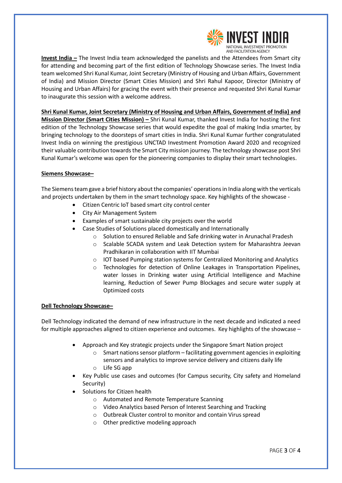

**Invest India –** The Invest India team acknowledged the panelists and the Attendees from Smart city for attending and becoming part of the first edition of Technology Showcase series. The Invest India team welcomed Shri Kunal Kumar, Joint Secretary (Ministry of Housing and Urban Affairs, Government of India) and Mission Director (Smart Cities Mission) and Shri Rahul Kapoor, Director (Ministry of Housing and Urban Affairs) for gracing the event with their presence and requested Shri Kunal Kumar to inaugurate this session with a welcome address.

**Shri Kunal Kumar, Joint Secretary (Ministry of Housing and Urban Affairs, Government of India) and Mission Director (Smart Cities Mission) –** Shri Kunal Kumar, thanked Invest India for hosting the first edition of the Technology Showcase series that would expedite the goal of making India smarter, by bringing technology to the doorsteps of smart cities in India. Shri Kunal Kumar further congratulated Invest India on winning the prestigious UNCTAD Investment Promotion Award 2020 and recognized their valuable contribution towards the Smart City mission journey. The technology showcase post Shri Kunal Kumar's welcome was open for the pioneering companies to display their smart technologies.

## **Siemens Showcase–**

The Siemens team gave a brief history about the companies' operations in India along with the verticals and projects undertaken by them in the smart technology space. Key highlights of the showcase -

- Citizen Centric IoT based smart city control center
- City Air Management System
- Examples of smart sustainable city projects over the world
	- Case Studies of Solutions placed domestically and Internationally
		- o Solution to ensured Reliable and Safe drinking water in Arunachal Pradesh
		- o Scalable SCADA system and Leak Detection system for Maharashtra Jeevan Pradhikaran in collaboration with IIT Mumbai
		- o IOT based Pumping station systems for Centralized Monitoring and Analytics
		- $\circ$  Technologies for detection of Online Leakages in Transportation Pipelines, water losses in Drinking water using Artificial Intelligence and Machine learning, Reduction of Sewer Pump Blockages and secure water supply at Optimized costs

## **Dell Technology Showcase–**

Dell Technology indicated the demand of new infrastructure in the next decade and indicated a need for multiple approaches aligned to citizen experience and outcomes. Key highlights of the showcase –

- Approach and Key strategic projects under the Singapore Smart Nation project
	- $\circ$  Smart nations sensor platform facilitating government agencies in exploiting sensors and analytics to improve service delivery and citizens daily life
	- o Life SG app
- Key Public use cases and outcomes (for Campus security, City safety and Homeland Security)
- Solutions for Citizen health
	- o Automated and Remote Temperature Scanning
	- o Video Analytics based Person of Interest Searching and Tracking
	- o Outbreak Cluster control to monitor and contain Virus spread
	- o Other predictive modeling approach